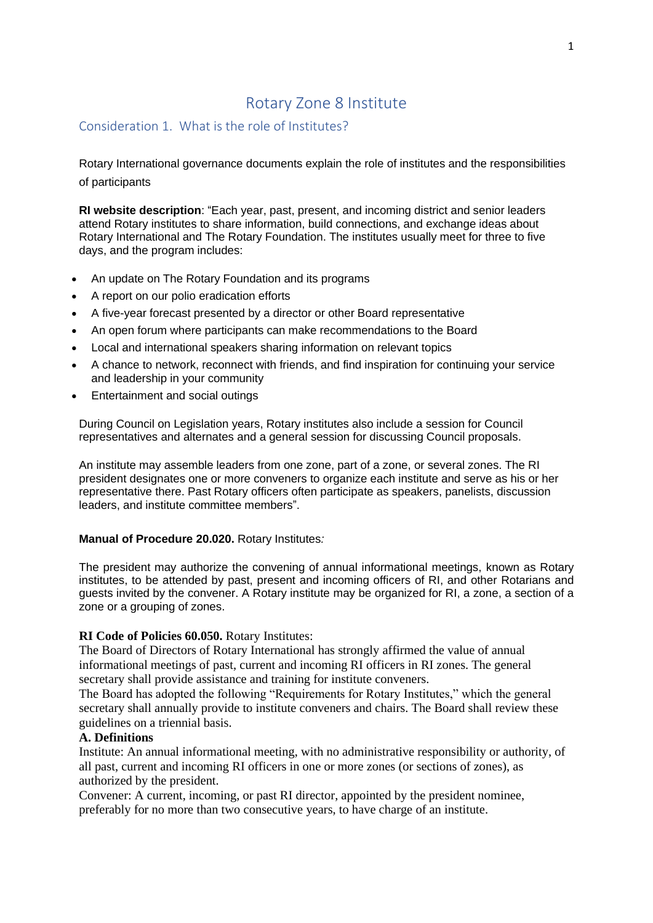# Rotary Zone 8 Institute

## Consideration 1. What is the role of Institutes?

Rotary International governance documents explain the role of institutes and the responsibilities of participants

**RI website description**: "Each year, past, present, and incoming district and senior leaders attend Rotary institutes to share information, build connections, and exchange ideas about Rotary International and The Rotary Foundation. The institutes usually meet for three to five days, and the program includes:

- An update on The Rotary Foundation and its programs
- A report on our polio eradication efforts
- A five-year forecast presented by a director or other Board representative
- An open forum where participants can make recommendations to the Board
- Local and international speakers sharing information on relevant topics
- A chance to network, reconnect with friends, and find inspiration for continuing your service and leadership in your community
- Entertainment and social outings

During Council on Legislation years, Rotary institutes also include a session for Council representatives and alternates and a general session for discussing Council proposals.

An institute may assemble leaders from one zone, part of a zone, or several zones. The RI president designates one or more conveners to organize each institute and serve as his or her representative there. Past Rotary officers often participate as speakers, panelists, discussion leaders, and institute committee members".

#### **Manual of Procedure 20.020.** Rotary Institutes*:*

The president may authorize the convening of annual informational meetings, known as Rotary institutes, to be attended by past, present and incoming officers of RI, and other Rotarians and guests invited by the convener. A Rotary institute may be organized for RI, a zone, a section of a zone or a grouping of zones.

### **RI Code of Policies 60.050.** Rotary Institutes:

The Board of Directors of Rotary International has strongly affirmed the value of annual informational meetings of past, current and incoming RI officers in RI zones. The general secretary shall provide assistance and training for institute conveners.

The Board has adopted the following "Requirements for Rotary Institutes," which the general secretary shall annually provide to institute conveners and chairs. The Board shall review these guidelines on a triennial basis.

### **A. Definitions**

Institute: An annual informational meeting, with no administrative responsibility or authority, of all past, current and incoming RI officers in one or more zones (or sections of zones), as authorized by the president.

Convener: A current, incoming, or past RI director, appointed by the president nominee, preferably for no more than two consecutive years, to have charge of an institute.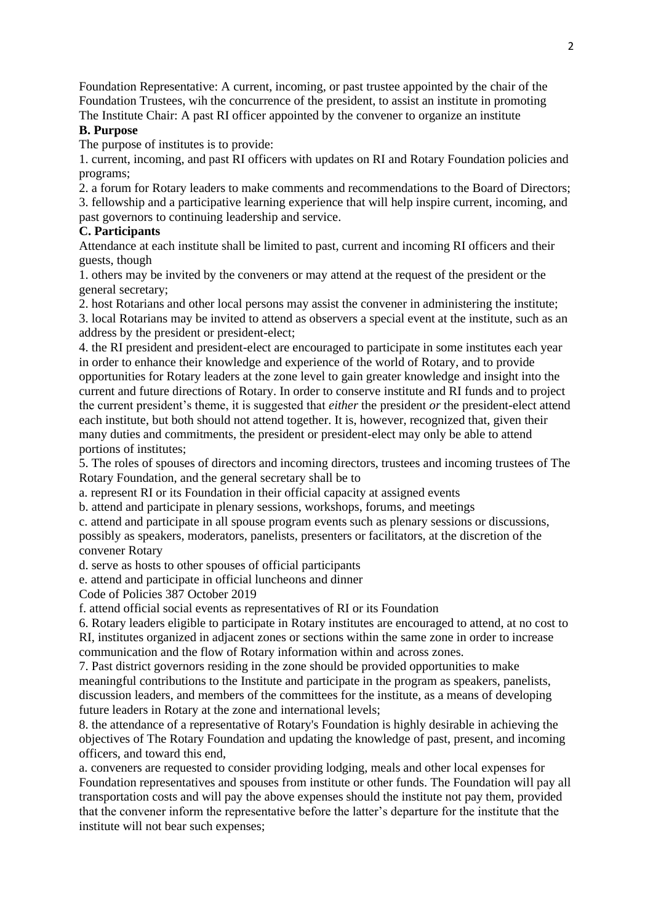Foundation Representative: A current, incoming, or past trustee appointed by the chair of the Foundation Trustees, wih the concurrence of the president, to assist an institute in promoting The Institute Chair: A past RI officer appointed by the convener to organize an institute

### **B. Purpose**

The purpose of institutes is to provide:

1. current, incoming, and past RI officers with updates on RI and Rotary Foundation policies and programs;

2. a forum for Rotary leaders to make comments and recommendations to the Board of Directors; 3. fellowship and a participative learning experience that will help inspire current, incoming, and past governors to continuing leadership and service.

### **C. Participants**

Attendance at each institute shall be limited to past, current and incoming RI officers and their guests, though

1. others may be invited by the conveners or may attend at the request of the president or the general secretary;

2. host Rotarians and other local persons may assist the convener in administering the institute;

3. local Rotarians may be invited to attend as observers a special event at the institute, such as an address by the president or president-elect;

4. the RI president and president-elect are encouraged to participate in some institutes each year in order to enhance their knowledge and experience of the world of Rotary, and to provide opportunities for Rotary leaders at the zone level to gain greater knowledge and insight into the current and future directions of Rotary. In order to conserve institute and RI funds and to project the current president's theme, it is suggested that *either* the president *or* the president-elect attend each institute, but both should not attend together. It is, however, recognized that, given their many duties and commitments, the president or president-elect may only be able to attend portions of institutes;

5. The roles of spouses of directors and incoming directors, trustees and incoming trustees of The Rotary Foundation, and the general secretary shall be to

a. represent RI or its Foundation in their official capacity at assigned events

b. attend and participate in plenary sessions, workshops, forums, and meetings

c. attend and participate in all spouse program events such as plenary sessions or discussions, possibly as speakers, moderators, panelists, presenters or facilitators, at the discretion of the convener Rotary

d. serve as hosts to other spouses of official participants

e. attend and participate in official luncheons and dinner

Code of Policies 387 October 2019

f. attend official social events as representatives of RI or its Foundation

6. Rotary leaders eligible to participate in Rotary institutes are encouraged to attend, at no cost to RI, institutes organized in adjacent zones or sections within the same zone in order to increase communication and the flow of Rotary information within and across zones.

7. Past district governors residing in the zone should be provided opportunities to make meaningful contributions to the Institute and participate in the program as speakers, panelists, discussion leaders, and members of the committees for the institute, as a means of developing future leaders in Rotary at the zone and international levels;

8. the attendance of a representative of Rotary's Foundation is highly desirable in achieving the objectives of The Rotary Foundation and updating the knowledge of past, present, and incoming officers, and toward this end,

a. conveners are requested to consider providing lodging, meals and other local expenses for Foundation representatives and spouses from institute or other funds. The Foundation will pay all transportation costs and will pay the above expenses should the institute not pay them, provided that the convener inform the representative before the latter's departure for the institute that the institute will not bear such expenses;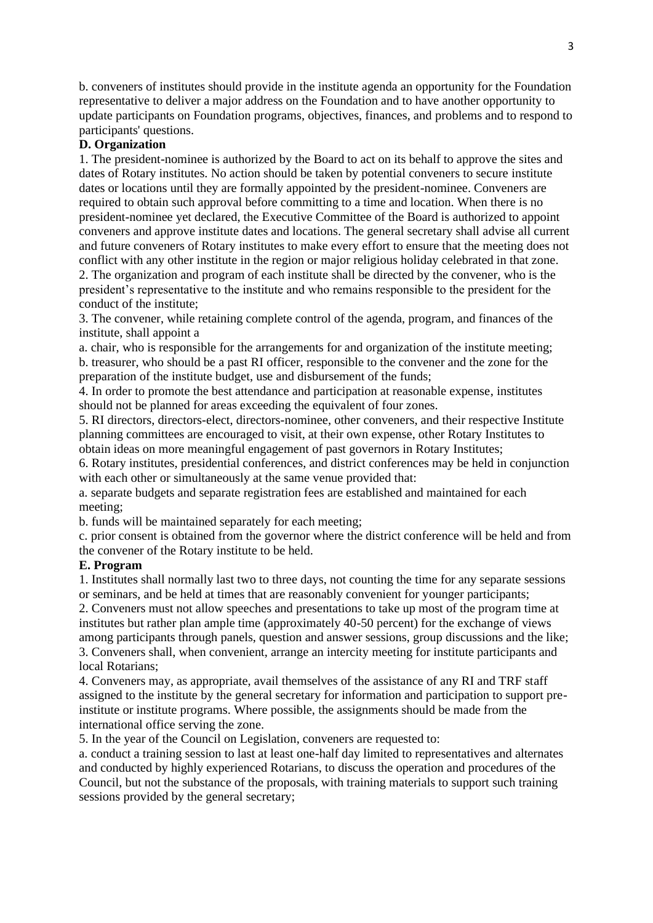b. conveners of institutes should provide in the institute agenda an opportunity for the Foundation representative to deliver a major address on the Foundation and to have another opportunity to update participants on Foundation programs, objectives, finances, and problems and to respond to participants' questions.

### **D. Organization**

1. The president-nominee is authorized by the Board to act on its behalf to approve the sites and dates of Rotary institutes. No action should be taken by potential conveners to secure institute dates or locations until they are formally appointed by the president-nominee. Conveners are required to obtain such approval before committing to a time and location. When there is no president-nominee yet declared, the Executive Committee of the Board is authorized to appoint conveners and approve institute dates and locations. The general secretary shall advise all current and future conveners of Rotary institutes to make every effort to ensure that the meeting does not conflict with any other institute in the region or major religious holiday celebrated in that zone. 2. The organization and program of each institute shall be directed by the convener, who is the president's representative to the institute and who remains responsible to the president for the conduct of the institute;

3. The convener, while retaining complete control of the agenda, program, and finances of the institute, shall appoint a

a. chair, who is responsible for the arrangements for and organization of the institute meeting; b. treasurer, who should be a past RI officer, responsible to the convener and the zone for the preparation of the institute budget, use and disbursement of the funds;

4. In order to promote the best attendance and participation at reasonable expense, institutes should not be planned for areas exceeding the equivalent of four zones.

5. RI directors, directors-elect, directors-nominee, other conveners, and their respective Institute planning committees are encouraged to visit, at their own expense, other Rotary Institutes to obtain ideas on more meaningful engagement of past governors in Rotary Institutes;

6. Rotary institutes, presidential conferences, and district conferences may be held in conjunction with each other or simultaneously at the same venue provided that:

a. separate budgets and separate registration fees are established and maintained for each meeting;

b. funds will be maintained separately for each meeting;

c. prior consent is obtained from the governor where the district conference will be held and from the convener of the Rotary institute to be held.

#### **E. Program**

1. Institutes shall normally last two to three days, not counting the time for any separate sessions or seminars, and be held at times that are reasonably convenient for younger participants;

2. Conveners must not allow speeches and presentations to take up most of the program time at institutes but rather plan ample time (approximately 40-50 percent) for the exchange of views among participants through panels, question and answer sessions, group discussions and the like; 3. Conveners shall, when convenient, arrange an intercity meeting for institute participants and local Rotarians;

4. Conveners may, as appropriate, avail themselves of the assistance of any RI and TRF staff assigned to the institute by the general secretary for information and participation to support preinstitute or institute programs. Where possible, the assignments should be made from the international office serving the zone.

5. In the year of the Council on Legislation, conveners are requested to:

a. conduct a training session to last at least one-half day limited to representatives and alternates and conducted by highly experienced Rotarians, to discuss the operation and procedures of the Council, but not the substance of the proposals, with training materials to support such training sessions provided by the general secretary;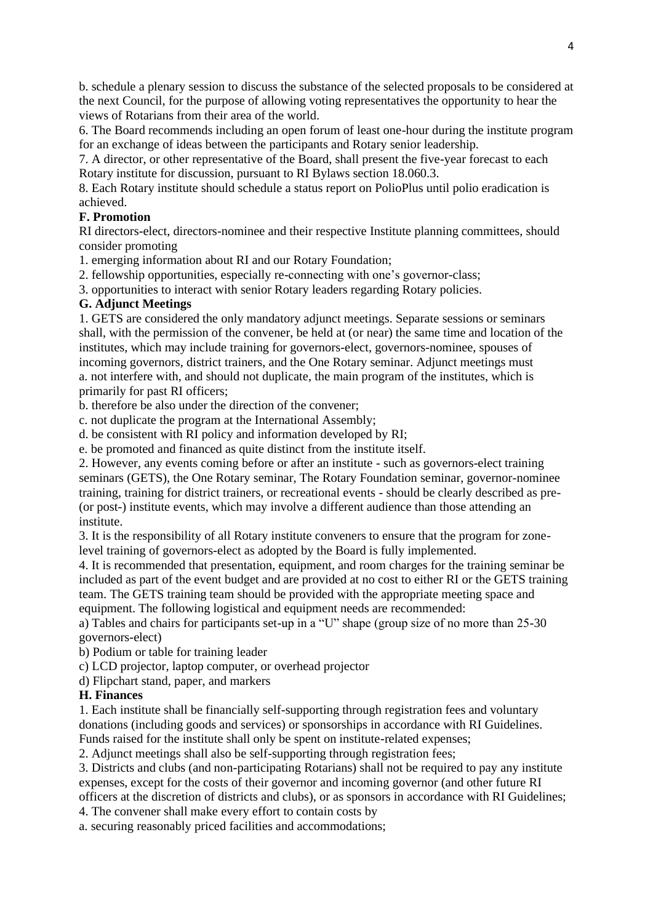b. schedule a plenary session to discuss the substance of the selected proposals to be considered at the next Council, for the purpose of allowing voting representatives the opportunity to hear the views of Rotarians from their area of the world.

6. The Board recommends including an open forum of least one-hour during the institute program for an exchange of ideas between the participants and Rotary senior leadership.

7. A director, or other representative of the Board, shall present the five-year forecast to each Rotary institute for discussion, pursuant to RI Bylaws section 18.060.3.

8. Each Rotary institute should schedule a status report on PolioPlus until polio eradication is achieved.

### **F. Promotion**

RI directors-elect, directors-nominee and their respective Institute planning committees, should consider promoting

1. emerging information about RI and our Rotary Foundation;

2. fellowship opportunities, especially re-connecting with one's governor-class;

3. opportunities to interact with senior Rotary leaders regarding Rotary policies.

### **G. Adjunct Meetings**

1. GETS are considered the only mandatory adjunct meetings. Separate sessions or seminars shall, with the permission of the convener, be held at (or near) the same time and location of the institutes, which may include training for governors-elect, governors-nominee, spouses of incoming governors, district trainers, and the One Rotary seminar. Adjunct meetings must a. not interfere with, and should not duplicate, the main program of the institutes, which is primarily for past RI officers;

b. therefore be also under the direction of the convener;

c. not duplicate the program at the International Assembly;

d. be consistent with RI policy and information developed by RI;

e. be promoted and financed as quite distinct from the institute itself.

2. However, any events coming before or after an institute - such as governors-elect training seminars (GETS), the One Rotary seminar, The Rotary Foundation seminar, governor-nominee training, training for district trainers, or recreational events - should be clearly described as pre- (or post-) institute events, which may involve a different audience than those attending an institute.

3. It is the responsibility of all Rotary institute conveners to ensure that the program for zonelevel training of governors-elect as adopted by the Board is fully implemented.

4. It is recommended that presentation, equipment, and room charges for the training seminar be included as part of the event budget and are provided at no cost to either RI or the GETS training team. The GETS training team should be provided with the appropriate meeting space and equipment. The following logistical and equipment needs are recommended:

a) Tables and chairs for participants set-up in a "U" shape (group size of no more than 25-30 governors-elect)

b) Podium or table for training leader

c) LCD projector, laptop computer, or overhead projector

d) Flipchart stand, paper, and markers

#### **H. Finances**

1. Each institute shall be financially self-supporting through registration fees and voluntary donations (including goods and services) or sponsorships in accordance with RI Guidelines. Funds raised for the institute shall only be spent on institute-related expenses;

2. Adjunct meetings shall also be self-supporting through registration fees;

3. Districts and clubs (and non-participating Rotarians) shall not be required to pay any institute expenses, except for the costs of their governor and incoming governor (and other future RI officers at the discretion of districts and clubs), or as sponsors in accordance with RI Guidelines;

4. The convener shall make every effort to contain costs by

a. securing reasonably priced facilities and accommodations;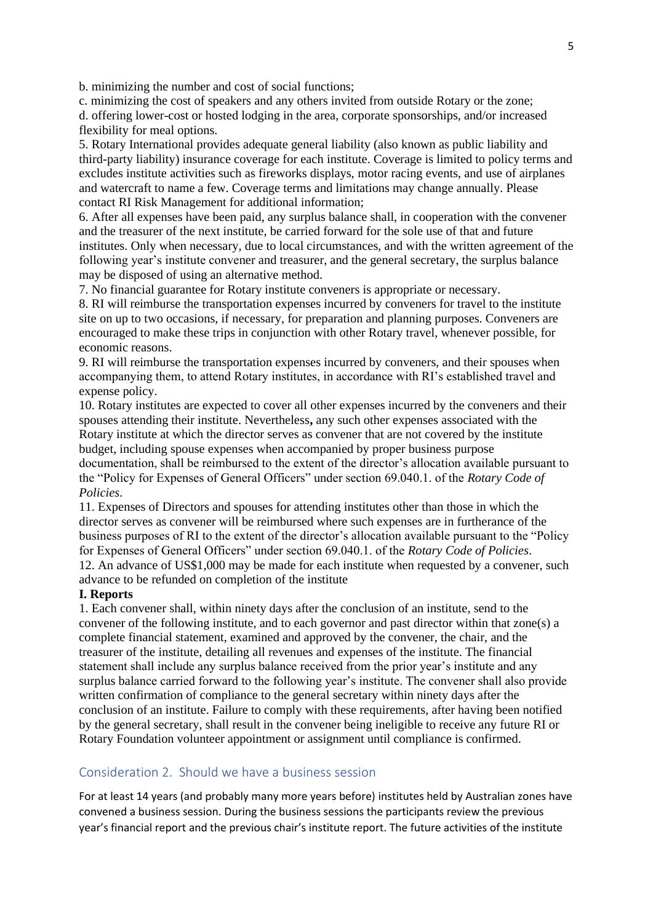b. minimizing the number and cost of social functions;

c. minimizing the cost of speakers and any others invited from outside Rotary or the zone; d. offering lower-cost or hosted lodging in the area, corporate sponsorships, and/or increased flexibility for meal options.

5. Rotary International provides adequate general liability (also known as public liability and third-party liability) insurance coverage for each institute. Coverage is limited to policy terms and excludes institute activities such as fireworks displays, motor racing events, and use of airplanes and watercraft to name a few. Coverage terms and limitations may change annually. Please contact RI Risk Management for additional information;

6. After all expenses have been paid, any surplus balance shall, in cooperation with the convener and the treasurer of the next institute, be carried forward for the sole use of that and future institutes. Only when necessary, due to local circumstances, and with the written agreement of the following year's institute convener and treasurer, and the general secretary, the surplus balance may be disposed of using an alternative method.

7. No financial guarantee for Rotary institute conveners is appropriate or necessary.

8. RI will reimburse the transportation expenses incurred by conveners for travel to the institute site on up to two occasions, if necessary, for preparation and planning purposes. Conveners are encouraged to make these trips in conjunction with other Rotary travel, whenever possible, for economic reasons.

9. RI will reimburse the transportation expenses incurred by conveners, and their spouses when accompanying them, to attend Rotary institutes, in accordance with RI's established travel and expense policy.

10. Rotary institutes are expected to cover all other expenses incurred by the conveners and their spouses attending their institute. Nevertheless**,** any such other expenses associated with the Rotary institute at which the director serves as convener that are not covered by the institute budget, including spouse expenses when accompanied by proper business purpose documentation, shall be reimbursed to the extent of the director's allocation available pursuant to the "Policy for Expenses of General Officers" under section 69.040.1. of the *Rotary Code of Policies*.

11. Expenses of Directors and spouses for attending institutes other than those in which the director serves as convener will be reimbursed where such expenses are in furtherance of the business purposes of RI to the extent of the director's allocation available pursuant to the "Policy for Expenses of General Officers" under section 69.040.1. of the *Rotary Code of Policies*. 12. An advance of US\$1,000 may be made for each institute when requested by a convener, such advance to be refunded on completion of the institute

#### **I. Reports**

1. Each convener shall, within ninety days after the conclusion of an institute, send to the convener of the following institute, and to each governor and past director within that zone(s) a complete financial statement, examined and approved by the convener, the chair, and the treasurer of the institute, detailing all revenues and expenses of the institute. The financial statement shall include any surplus balance received from the prior year's institute and any surplus balance carried forward to the following year's institute. The convener shall also provide written confirmation of compliance to the general secretary within ninety days after the conclusion of an institute. Failure to comply with these requirements, after having been notified by the general secretary, shall result in the convener being ineligible to receive any future RI or Rotary Foundation volunteer appointment or assignment until compliance is confirmed.

### Consideration 2. Should we have a business session

For at least 14 years (and probably many more years before) institutes held by Australian zones have convened a business session. During the business sessions the participants review the previous year's financial report and the previous chair's institute report. The future activities of the institute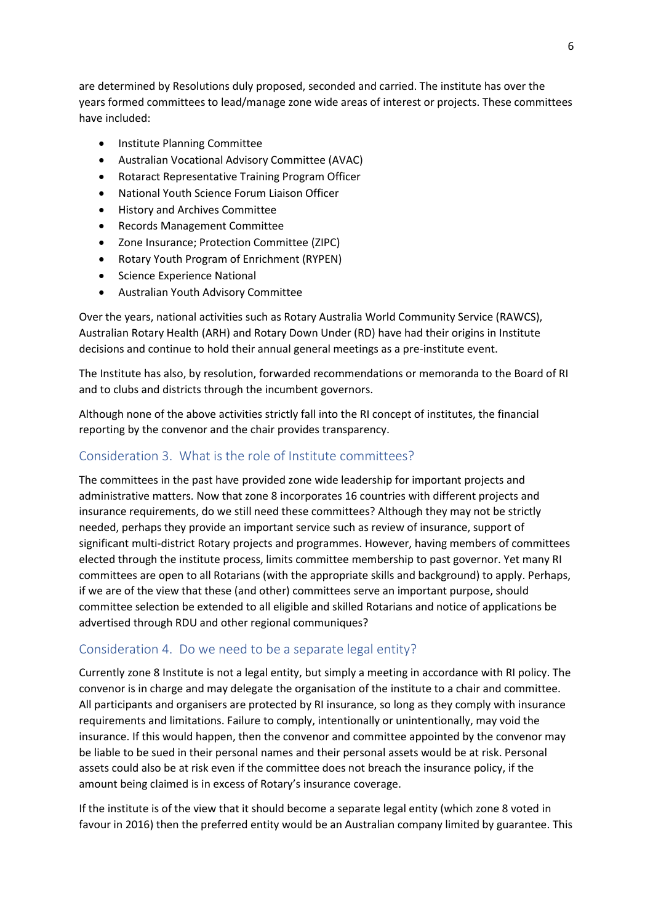are determined by Resolutions duly proposed, seconded and carried. The institute has over the years formed committees to lead/manage zone wide areas of interest or projects. These committees have included:

- Institute Planning Committee
- Australian Vocational Advisory Committee (AVAC)
- Rotaract Representative Training Program Officer
- National Youth Science Forum Liaison Officer
- History and Archives Committee
- Records Management Committee
- Zone Insurance; Protection Committee (ZIPC)
- Rotary Youth Program of Enrichment (RYPEN)
- Science Experience National
- Australian Youth Advisory Committee

Over the years, national activities such as Rotary Australia World Community Service (RAWCS), Australian Rotary Health (ARH) and Rotary Down Under (RD) have had their origins in Institute decisions and continue to hold their annual general meetings as a pre-institute event.

The Institute has also, by resolution, forwarded recommendations or memoranda to the Board of RI and to clubs and districts through the incumbent governors.

Although none of the above activities strictly fall into the RI concept of institutes, the financial reporting by the convenor and the chair provides transparency.

### Consideration 3. What is the role of Institute committees?

The committees in the past have provided zone wide leadership for important projects and administrative matters. Now that zone 8 incorporates 16 countries with different projects and insurance requirements, do we still need these committees? Although they may not be strictly needed, perhaps they provide an important service such as review of insurance, support of significant multi-district Rotary projects and programmes. However, having members of committees elected through the institute process, limits committee membership to past governor. Yet many RI committees are open to all Rotarians (with the appropriate skills and background) to apply. Perhaps, if we are of the view that these (and other) committees serve an important purpose, should committee selection be extended to all eligible and skilled Rotarians and notice of applications be advertised through RDU and other regional communiques?

#### Consideration 4. Do we need to be a separate legal entity?

Currently zone 8 Institute is not a legal entity, but simply a meeting in accordance with RI policy. The convenor is in charge and may delegate the organisation of the institute to a chair and committee. All participants and organisers are protected by RI insurance, so long as they comply with insurance requirements and limitations. Failure to comply, intentionally or unintentionally, may void the insurance. If this would happen, then the convenor and committee appointed by the convenor may be liable to be sued in their personal names and their personal assets would be at risk. Personal assets could also be at risk even if the committee does not breach the insurance policy, if the amount being claimed is in excess of Rotary's insurance coverage.

If the institute is of the view that it should become a separate legal entity (which zone 8 voted in favour in 2016) then the preferred entity would be an Australian company limited by guarantee. This